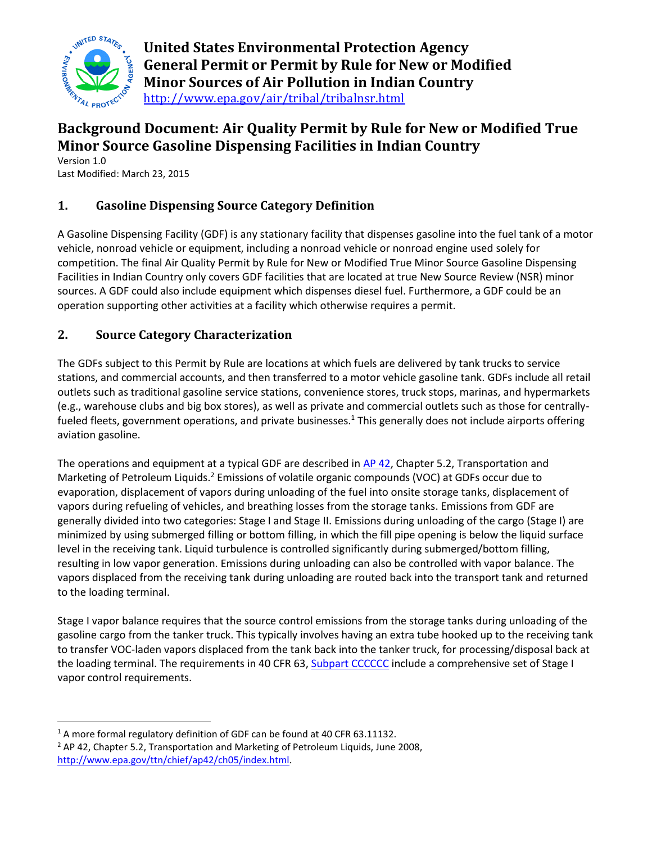

**United States Environmental Protection Agency General Permit or Permit by Rule for New or Modified Minor Sources of Air Pollution in Indian Country** <http://www.epa.gov/air/tribal/tribalnsr.html>

# **Background Document: Air Quality Permit by Rule for New or Modified True Minor Source Gasoline Dispensing Facilities in Indian Country**

Version 1.0 Last Modified: March 23, 2015

# **1. Gasoline Dispensing Source Category Definition**

A Gasoline Dispensing Facility (GDF) is any stationary facility that dispenses gasoline into the fuel tank of a motor vehicle, nonroad vehicle or equipment, including a nonroad vehicle or nonroad engine used solely for competition. The final Air Quality Permit by Rule for New or Modified True Minor Source Gasoline Dispensing Facilities in Indian Country only covers GDF facilities that are located at true New Source Review (NSR) minor sources. A GDF could also include equipment which dispenses diesel fuel. Furthermore, a GDF could be an operation supporting other activities at a facility which otherwise requires a permit.

# **2. Source Category Characterization**

The GDFs subject to this Permit by Rule are locations at which fuels are delivered by tank trucks to service stations, and commercial accounts, and then transferred to a motor vehicle gasoline tank. GDFs include all retail outlets such as traditional gasoline service stations, convenience stores, truck stops, marinas, and hypermarkets (e.g., warehouse clubs and big box stores), as well as private and commercial outlets such as those for centrallyfueled fleets, government operations, and private businesses.<sup>1</sup> This generally does not include airports offering aviation gasoline.

The operations and equipment at a typical GDF are described in AP 42, Chapter 5.2, Transportation and Marketing of Petroleum Liquids.<sup>2</sup> Emissions of volatile organic compounds (VOC) at GDFs occur due to evaporation, displacement of vapors during unloading of the fuel into onsite storage tanks, displacement of vapors during refueling of vehicles, and breathing losses from the storage tanks. Emissions from GDF are generally divided into two categories: Stage I and Stage II. Emissions during unloading of the cargo (Stage I) are minimized by using submerged filling or bottom filling, in which the fill pipe opening is below the liquid surface level in the receiving tank. Liquid turbulence is controlled significantly during submerged/bottom filling, resulting in low vapor generation. Emissions during unloading can also be controlled with vapor balance. The vapors displaced from the receiving tank during unloading are routed back into the transport tank and returned to the loading terminal.

Stage I vapor balance requires that the source control emissions from the storage tanks during unloading of the gasoline cargo from the tanker truck. This typically involves having an extra tube hooked up to the receiving tank to transfer VOC-laden vapors displaced from the tank back into the tanker truck, for processing/disposal back at the loading terminal. The requirements in 40 CFR 63, Subpart CCCCCC include a comprehensive set of Stage I vapor control requirements.

 $\overline{a}$ <sup>1</sup> A more formal regulatory definition of GDF can be found at 40 CFR 63.11132.

 $2$  AP 42, Chapter 5.2, Transportation and Marketing of Petroleum Liquids, June 2008, <http://www.epa.gov/ttn/chief/ap42/ch05/index.html>.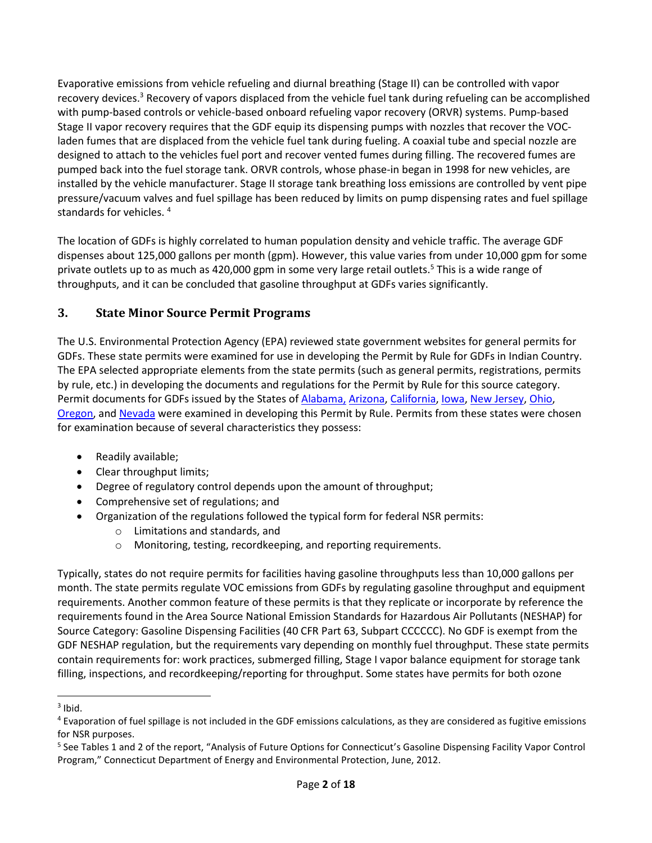Evaporative emissions from vehicle refueling and diurnal breathing (Stage II) can be controlled with vapor recovery devices.<sup>3</sup> Recovery of vapors displaced from the vehicle fuel tank during refueling can be accomplished with pump-based controls or vehicle-based onboard refueling vapor recovery (ORVR) systems. Pump-based Stage II vapor recovery requires that the GDF equip its dispensing pumps with nozzles that recover the VOCladen fumes that are displaced from the vehicle fuel tank during fueling. A coaxial tube and special nozzle are designed to attach to the vehicles fuel port and recover vented fumes during filling. The recovered fumes are pumped back into the fuel storage tank. ORVR controls, whose phase-in began in 1998 for new vehicles, are installed by the vehicle manufacturer. Stage II storage tank breathing loss emissions are controlled by vent pipe pressure/vacuum valves and fuel spillage has been reduced by limits on pump dispensing rates and fuel spillage standards for vehicles. <sup>4</sup>

The location of GDFs is highly correlated to human population density and vehicle traffic. The average GDF dispenses about 125,000 gallons per month (gpm). However, this value varies from under 10,000 gpm for some private outlets up to as much as 420,000 gpm in some very large retail outlets.<sup>5</sup> This is a wide range of throughputs, and it can be concluded that gasoline throughput at GDFs varies significantly.

## **3. State Minor Source Permit Programs**

The U.S. Environmental Protection Agency (EPA) reviewed state government websites for general permits for GDFs. These state permits were examined for use in developing the Permit by Rule for GDFs in Indian Country. The EPA selected appropriate elements from the state permits (such as general permits, registrations, permits by rule, etc.) in developing the documents and regulations for the Permit by Rule for this source category. Permit documents for GDFs issued by the States of [Alabama,](#page-13-0) [Arizona,](#page-13-0) California[, Iowa,](#page-13-0) New Jersey, Ohio, Oregon, and Nevada were examined in developing this Permit by Rule. Permits from these states were chosen for examination because of several characteristics they possess:

- <span id="page-1-5"></span><span id="page-1-4"></span><span id="page-1-3"></span><span id="page-1-2"></span><span id="page-1-1"></span><span id="page-1-0"></span>• Readily available;
- Clear throughput limits;
- Degree of regulatory control depends upon the amount of throughput;
- Comprehensive set of regulations; and
- Organization of the regulations followed the typical form for federal NSR permits:
	- o Limitations and standards, and
	- o Monitoring, testing, recordkeeping, and reporting requirements.

Typically, states do not require permits for facilities having gasoline throughputs less than 10,000 gallons per month. The state permits regulate VOC emissions from GDFs by regulating gasoline throughput and equipment requirements. Another common feature of these permits is that they replicate or incorporate by reference the requirements found in the Area Source National Emission Standards for Hazardous Air Pollutants (NESHAP) for Source Category: Gasoline Dispensing Facilities (40 CFR Part 63, Subpart CCCCCC). No GDF is exempt from the GDF NESHAP regulation, but the requirements vary depending on monthly fuel throughput. These state permits contain requirements for: work practices, submerged filling, Stage I vapor balance equipment for storage tank filling, inspections, and recordkeeping/reporting for throughput. Some states have permits for both ozone

 $\overline{a}$ 

 $3$  Ibid.

<sup>4</sup> Evaporation of fuel spillage is not included in the GDF emissions calculations, as they are considered as fugitive emissions for NSR purposes.

<sup>&</sup>lt;sup>5</sup> See Tables 1 and 2 of the report, "Analysis of Future Options for Connecticut's Gasoline Dispensing Facility Vapor Control Program," Connecticut Department of Energy and Environmental Protection, June, 2012.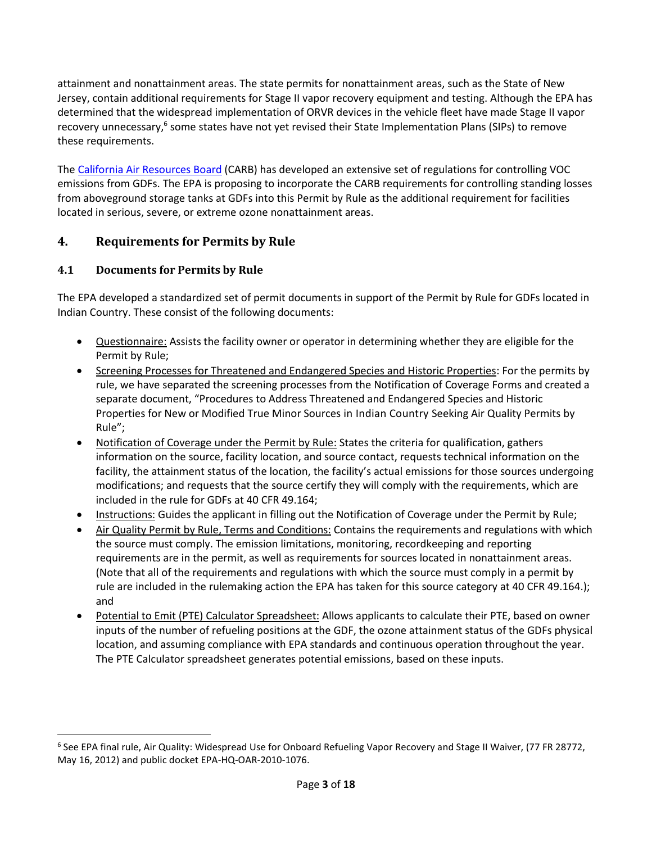attainment and nonattainment areas. The state permits for nonattainment areas, such as the State of New Jersey, contain additional requirements for Stage II vapor recovery equipment and testing. Although the EPA has determined that the widespread implementation of ORVR devices in the vehicle fleet have made Stage II vapor recovery unnecessary,<sup>6</sup> some states have not yet revised their State Implementation Plans (SIPs) to remove these requirements.

The California Air Resources Board (CARB) has developed an extensive set of regulations for controlling VOC emissions from GDFs. The EPA is proposing to incorporate the CARB requirements for controlling standing losses from aboveground storage tanks at GDFs into this Permit by Rule as the additional requirement for facilities located in serious, severe, or extreme ozone nonattainment areas.

## **4. Requirements for Permits by Rule**

## **4.1 Documents for Permits by Rule**

l

The EPA developed a standardized set of permit documents in support of the Permit by Rule for GDFs located in Indian Country. These consist of the following documents:

- Questionnaire: Assists the facility owner or operator in determining whether they are eligible for the Permit by Rule;
- Screening Processes for Threatened and Endangered Species and Historic Properties: For the permits by rule, we have separated the screening processes from the Notification of Coverage Forms and created a separate document, "Procedures to Address Threatened and Endangered Species and Historic Properties for New or Modified True Minor Sources in Indian Country Seeking Air Quality Permits by Rule";
- Notification of Coverage under the Permit by Rule: States the criteria for qualification, gathers information on the source, facility location, and source contact, requests technical information on the facility, the attainment status of the location, the facility's actual emissions for those sources undergoing modifications; and requests that the source certify they will comply with the requirements, which are included in the rule for GDFs at 40 CFR 49.164;
- Instructions: Guides the applicant in filling out the Notification of Coverage under the Permit by Rule;
- Air Quality Permit by Rule, Terms and Conditions: Contains the requirements and regulations with which the source must comply. The emission limitations, monitoring, recordkeeping and reporting requirements are in the permit, as well as requirements for sources located in nonattainment areas. (Note that all of the requirements and regulations with which the source must comply in a permit by rule are included in the rulemaking action the EPA has taken for this source category at 40 CFR 49.164.); and
- Potential to Emit (PTE) Calculator Spreadsheet: Allows applicants to calculate their PTE, based on owner inputs of the number of refueling positions at the GDF, the ozone attainment status of the GDFs physical location, and assuming compliance with EPA standards and continuous operation throughout the year. The PTE Calculator spreadsheet generates potential emissions, based on these inputs.

<sup>&</sup>lt;sup>6</sup> See EPA final rule, Air Quality: Widespread Use for Onboard Refueling Vapor Recovery and Stage II Waiver, (77 FR 28772, May 16, 2012) and public docket EPA-HQ-OAR-2010-1076.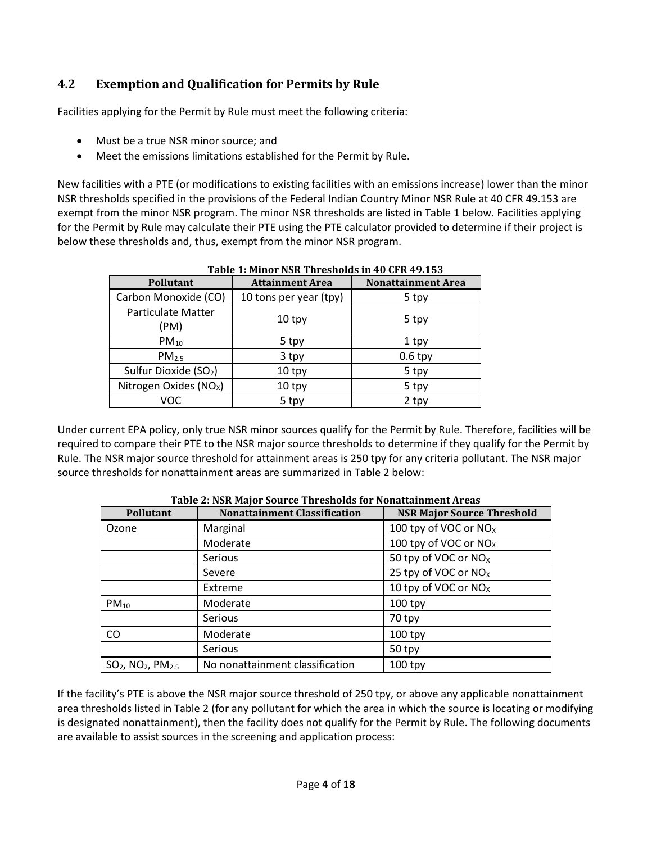## **4.2 Exemption and Qualification for Permits by Rule**

Facilities applying for the Permit by Rule must meet the following criteria:

- Must be a true NSR minor source; and
- Meet the emissions limitations established for the Permit by Rule.

New facilities with a PTE (or modifications to existing facilities with an emissions increase) lower than the minor NSR thresholds specified in the provisions of the Federal Indian Country Minor NSR Rule at 40 CFR 49.153 are exempt from the minor NSR program. The minor NSR thresholds are listed in Table 1 below. Facilities applying for the Permit by Rule may calculate their PTE using the PTE calculator provided to determine if their project is below these thresholds and, thus, exempt from the minor NSR program.

| Pollutant                          | <b>Attainment Area</b> | <b>Nonattainment Area</b> |
|------------------------------------|------------------------|---------------------------|
| Carbon Monoxide (CO)               | 10 tons per year (tpy) | 5 tpy                     |
| <b>Particulate Matter</b><br>(PM)  | 10 <sub>typy</sub>     | 5 tpy                     |
| $PM_{10}$                          | 5 tpy                  | 1 tpy                     |
| PM <sub>2.5</sub>                  | 3 tpy                  | $0.6$ tpy                 |
| Sulfur Dioxide (SO <sub>2</sub> )  | 10 tpy                 | 5 tpy                     |
| Nitrogen Oxides (NO <sub>x</sub> ) | 10 tpy                 | 5 tpy                     |
| VOC                                | 5 tpy                  | 2 tpy                     |

**Table 1: Minor NSR Thresholds in 40 CFR 49.153**

Under current EPA policy, only true NSR minor sources qualify for the Permit by Rule. Therefore, facilities will be required to compare their PTE to the NSR major source thresholds to determine if they qualify for the Permit by Rule. The NSR major source threshold for attainment areas is 250 tpy for any criteria pollutant. The NSR major source thresholds for nonattainment areas are summarized in Table 2 below:

| Pollutant                                    | <b>Nonattainment Classification</b> | <b>NSR Major Source Threshold</b> |
|----------------------------------------------|-------------------------------------|-----------------------------------|
| Ozone                                        | Marginal                            | 100 tpy of VOC or $NOx$           |
|                                              | Moderate                            | 100 tpy of VOC or $NOx$           |
|                                              | <b>Serious</b>                      | 50 tpy of VOC or NO <sub>x</sub>  |
|                                              | Severe                              | 25 tpy of VOC or NO <sub>x</sub>  |
|                                              | Extreme                             | 10 tpy of VOC or $NOx$            |
| $PM_{10}$                                    | Moderate                            | $100$ tpy                         |
|                                              | <b>Serious</b>                      | 70 tpy                            |
| CO.                                          | Moderate                            | $100$ tpy                         |
|                                              | Serious                             | 50 tpy                            |
| $SO_2$ , NO <sub>2</sub> , PM <sub>2.5</sub> | No nonattainment classification     | $100$ tpy                         |

**Table 2: NSR Major Source Thresholds for Nonattainment Areas**

If the facility's PTE is above the NSR major source threshold of 250 tpy, or above any applicable nonattainment area thresholds listed in Table 2 (for any pollutant for which the area in which the source is locating or modifying is designated nonattainment), then the facility does not qualify for the Permit by Rule. The following documents are available to assist sources in the screening and application process: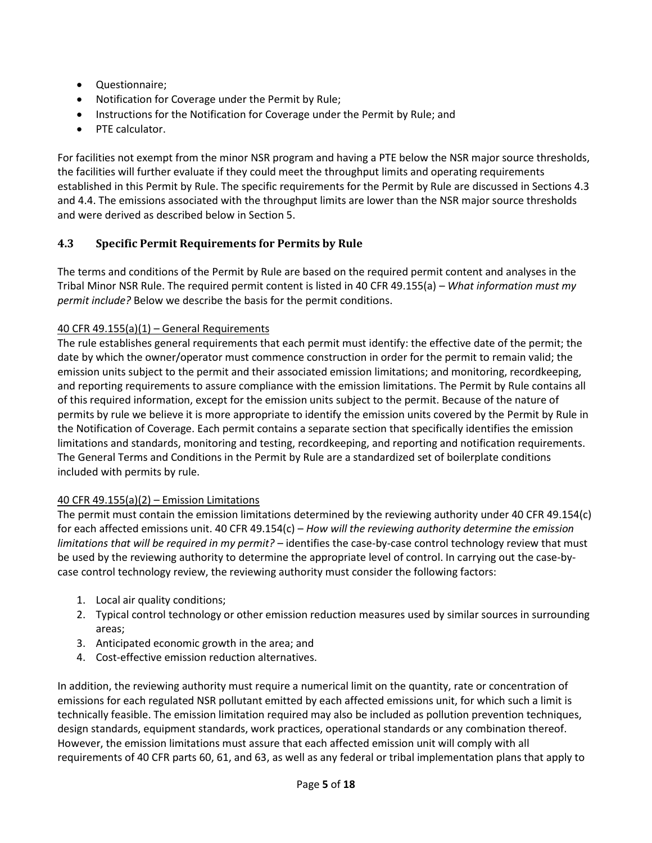- Questionnaire;
- Notification for Coverage under the Permit by Rule;
- Instructions for the Notification for Coverage under the Permit by Rule; and
- PTE calculator.

For facilities not exempt from the minor NSR program and having a PTE below the NSR major source thresholds, the facilities will further evaluate if they could meet the throughput limits and operating requirements established in this Permit by Rule. The specific requirements for the Permit by Rule are discussed in Sections 4.3 and 4.4. The emissions associated with the throughput limits are lower than the NSR major source thresholds and were derived as described below in Section 5.

## **4.3 Specific Permit Requirements for Permits by Rule**

The terms and conditions of the Permit by Rule are based on the required permit content and analyses in the Tribal Minor NSR Rule. The required permit content is listed in 40 CFR 49.155(a) – *What information must my permit include?* Below we describe the basis for the permit conditions.

### 40 CFR 49.155(a) $(1)$  – General Requirements

The rule establishes general requirements that each permit must identify: the effective date of the permit; the date by which the owner/operator must commence construction in order for the permit to remain valid; the emission units subject to the permit and their associated emission limitations; and monitoring, recordkeeping, and reporting requirements to assure compliance with the emission limitations. The Permit by Rule contains all of this required information, except for the emission units subject to the permit. Because of the nature of permits by rule we believe it is more appropriate to identify the emission units covered by the Permit by Rule in the Notification of Coverage. Each permit contains a separate section that specifically identifies the emission limitations and standards, monitoring and testing, recordkeeping, and reporting and notification requirements. The General Terms and Conditions in the Permit by Rule are a standardized set of boilerplate conditions included with permits by rule.

## 40 CFR 49.155(a) $(2)$  – Emission Limitations

The permit must contain the emission limitations determined by the reviewing authority under 40 CFR 49.154(c) for each affected emissions unit. 40 CFR 49.154(c) – *How will the reviewing authority determine the emission limitations that will be required in my permit?* – identifies the case-by-case control technology review that must be used by the reviewing authority to determine the appropriate level of control. In carrying out the case-bycase control technology review, the reviewing authority must consider the following factors:

- 1. Local air quality conditions;
- 2. Typical control technology or other emission reduction measures used by similar sources in surrounding areas;
- 3. Anticipated economic growth in the area; and
- 4. Cost-effective emission reduction alternatives.

In addition, the reviewing authority must require a numerical limit on the quantity, rate or concentration of emissions for each regulated NSR pollutant emitted by each affected emissions unit, for which such a limit is technically feasible. The emission limitation required may also be included as pollution prevention techniques, design standards, equipment standards, work practices, operational standards or any combination thereof. However, the emission limitations must assure that each affected emission unit will comply with all requirements of 40 CFR parts 60, 61, and 63, as well as any federal or tribal implementation plans that apply to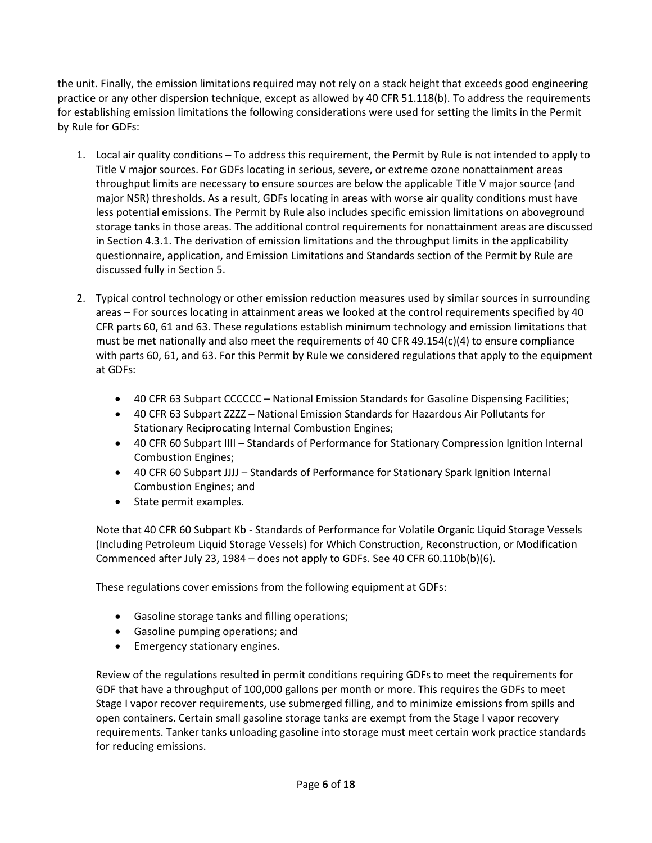the unit. Finally, the emission limitations required may not rely on a stack height that exceeds good engineering practice or any other dispersion technique, except as allowed by 40 CFR 51.118(b). To address the requirements for establishing emission limitations the following considerations were used for setting the limits in the Permit by Rule for GDFs:

- 1. Local air quality conditions To address this requirement, the Permit by Rule is not intended to apply to Title V major sources. For GDFs locating in serious, severe, or extreme ozone nonattainment areas throughput limits are necessary to ensure sources are below the applicable Title V major source (and major NSR) thresholds. As a result, GDFs locating in areas with worse air quality conditions must have less potential emissions. The Permit by Rule also includes specific emission limitations on aboveground storage tanks in those areas. The additional control requirements for nonattainment areas are discussed in Section 4.3.1. The derivation of emission limitations and the throughput limits in the applicability questionnaire, application, and Emission Limitations and Standards section of the Permit by Rule are discussed fully in Section 5.
- 2. Typical control technology or other emission reduction measures used by similar sources in surrounding areas – For sources locating in attainment areas we looked at the control requirements specified by 40 CFR parts 60, 61 and 63. These regulations establish minimum technology and emission limitations that must be met nationally and also meet the requirements of 40 CFR 49.154(c)(4) to ensure compliance with parts 60, 61, and 63. For this Permit by Rule we considered regulations that apply to the equipment at GDFs:
	- 40 CFR 63 Subpart CCCCCC National Emission Standards for Gasoline Dispensing Facilities;
	- 40 CFR 63 Subpart ZZZZ National Emission Standards for Hazardous Air Pollutants for Stationary Reciprocating Internal Combustion Engines;
	- 40 CFR 60 Subpart IIII Standards of Performance for Stationary Compression Ignition Internal Combustion Engines;
	- 40 CFR 60 Subpart JJJJ Standards of Performance for Stationary Spark Ignition Internal Combustion Engines; and
	- State permit examples.

Note that 40 CFR 60 Subpart Kb - Standards of Performance for Volatile Organic Liquid Storage Vessels (Including Petroleum Liquid Storage Vessels) for Which Construction, Reconstruction, or Modification Commenced after July 23, 1984 – does not apply to GDFs. See 40 CFR 60.110b(b)(6).

These regulations cover emissions from the following equipment at GDFs:

- Gasoline storage tanks and filling operations;
- Gasoline pumping operations; and
- **•** Emergency stationary engines.

Review of the regulations resulted in permit conditions requiring GDFs to meet the requirements for GDF that have a throughput of 100,000 gallons per month or more. This requires the GDFs to meet Stage I vapor recover requirements, use submerged filling, and to minimize emissions from spills and open containers. Certain small gasoline storage tanks are exempt from the Stage I vapor recovery requirements. Tanker tanks unloading gasoline into storage must meet certain work practice standards for reducing emissions.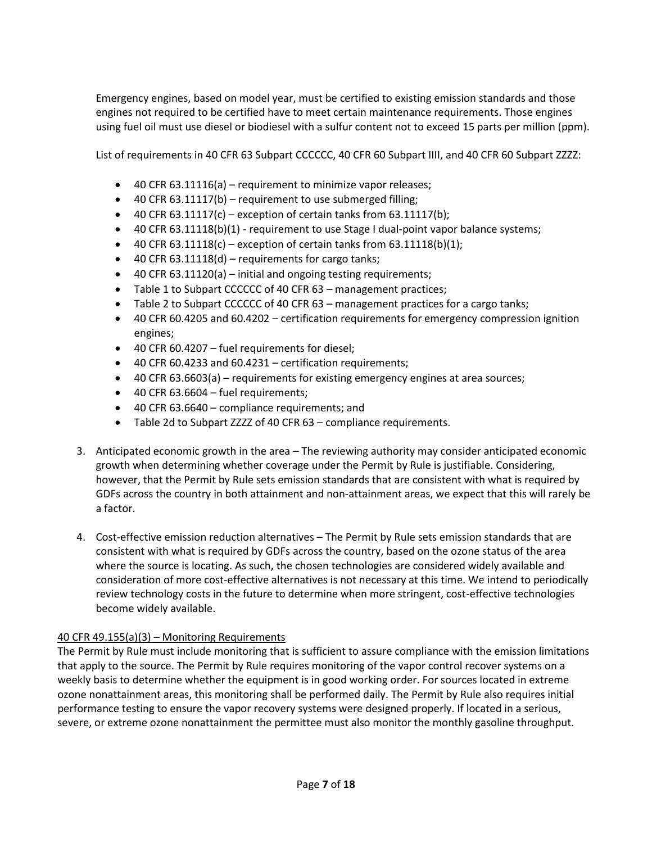Emergency engines, based on model year, must be certified to existing emission standards and those engines not required to be certified have to meet certain maintenance requirements. Those engines using fuel oil must use diesel or biodiesel with a sulfur content not to exceed 15 parts per million (ppm).

List of requirements in 40 CFR 63 Subpart CCCCCC, 40 CFR 60 Subpart IIII, and 40 CFR 60 Subpart ZZZZ:

- $\bullet$  40 CFR 63.11116(a) requirement to minimize vapor releases;
- 40 CFR 63.11117(b) requirement to use submerged filling;
- $\bullet$  40 CFR 63.11117(c) exception of certain tanks from 63.11117(b);
- 40 CFR 63.11118(b)(1) requirement to use Stage I dual-point vapor balance systems;
- $\bullet$  40 CFR 63.11118(c) exception of certain tanks from 63.11118(b)(1);
- $\bullet$  40 CFR 63.11118(d) requirements for cargo tanks;
- 40 CFR 63.11120(a) initial and ongoing testing requirements;
- Table 1 to Subpart CCCCCC of 40 CFR 63 management practices;
- Table 2 to Subpart CCCCCC of 40 CFR 63 management practices for a cargo tanks;
- 40 CFR 60.4205 and 60.4202 certification requirements for emergency compression ignition engines;
- 40 CFR 60.4207 fuel requirements for diesel;
- 40 CFR 60.4233 and 60.4231 certification requirements;
- 40 CFR 63.6603(a) requirements for existing emergency engines at area sources;
- $-40$  CFR 63.6604 fuel requirements;
- 40 CFR 63.6640 compliance requirements; and
- Table 2d to Subpart ZZZZ of 40 CFR 63 compliance requirements.
- 3. Anticipated economic growth in the area The reviewing authority may consider anticipated economic growth when determining whether coverage under the Permit by Rule is justifiable. Considering, however, that the Permit by Rule sets emission standards that are consistent with what is required by GDFs across the country in both attainment and non-attainment areas, we expect that this will rarely be a factor.
- 4. Cost-effective emission reduction alternatives The Permit by Rule sets emission standards that are consistent with what is required by GDFs across the country, based on the ozone status of the area where the source is locating. As such, the chosen technologies are considered widely available and consideration of more cost-effective alternatives is not necessary at this time. We intend to periodically review technology costs in the future to determine when more stringent, cost-effective technologies become widely available.

### 40 CFR 49.155(a)(3) – Monitoring Requirements

The Permit by Rule must include monitoring that is sufficient to assure compliance with the emission limitations that apply to the source. The Permit by Rule requires monitoring of the vapor control recover systems on a weekly basis to determine whether the equipment is in good working order. For sources located in extreme ozone nonattainment areas, this monitoring shall be performed daily. The Permit by Rule also requires initial performance testing to ensure the vapor recovery systems were designed properly. If located in a serious, severe, or extreme ozone nonattainment the permittee must also monitor the monthly gasoline throughput.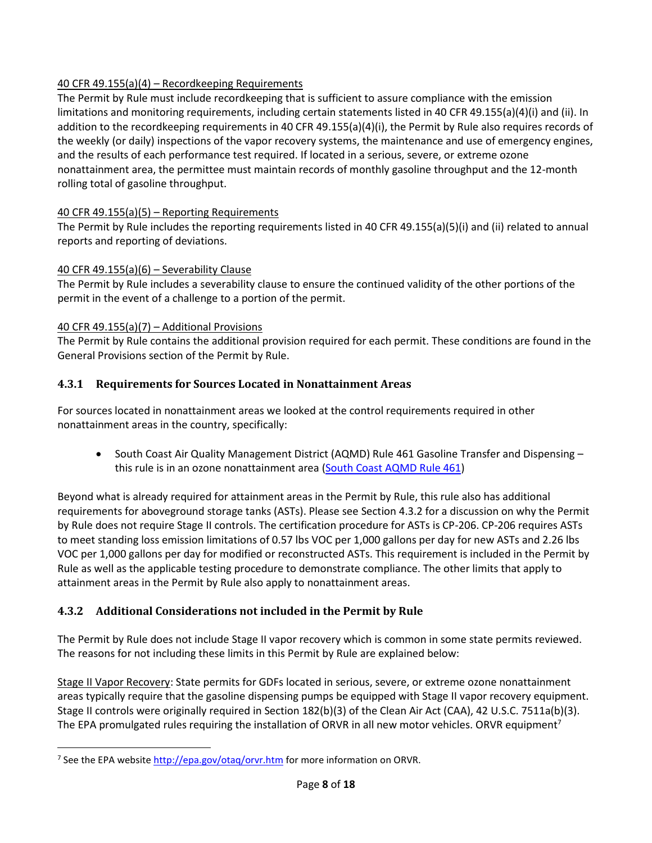### 40 CFR 49.155(a)(4) – Recordkeeping Requirements

The Permit by Rule must include recordkeeping that is sufficient to assure compliance with the emission limitations and monitoring requirements, including certain statements listed in 40 CFR 49.155(a)(4)(i) and (ii). In addition to the recordkeeping requirements in 40 CFR 49.155(a)(4)(i), the Permit by Rule also requires records of the weekly (or daily) inspections of the vapor recovery systems, the maintenance and use of emergency engines, and the results of each performance test required. If located in a serious, severe, or extreme ozone nonattainment area, the permittee must maintain records of monthly gasoline throughput and the 12-month rolling total of gasoline throughput.

### 40 CFR 49.155(a)(5) – Reporting Requirements

The Permit by Rule includes the reporting requirements listed in 40 CFR 49.155(a)(5)(i) and (ii) related to annual reports and reporting of deviations.

### 40 CFR 49.155(a)(6) – Severability Clause

The Permit by Rule includes a severability clause to ensure the continued validity of the other portions of the permit in the event of a challenge to a portion of the permit.

### 40 CFR 49.155(a)(7) – Additional Provisions

The Permit by Rule contains the additional provision required for each permit. These conditions are found in the General Provisions section of the Permit by Rule.

## **4.3.1 Requirements for Sources Located in Nonattainment Areas**

For sources located in nonattainment areas we looked at the control requirements required in other nonattainment areas in the country, specifically:

• South Coast Air Quality Management District (AQMD) Rule 461 Gasoline Transfer and Dispensing this rule is in an ozone nonattainment area (South Coast AQMD Rule 461)

Beyond what is already required for attainment areas in the Permit by Rule, this rule also has additional requirements for aboveground storage tanks (ASTs). Please see Section 4.3.2 for a discussion on why the Permit by Rule does not require Stage II controls. The certification procedure for ASTs is CP-206. CP-206 requires ASTs to meet standing loss emission limitations of 0.57 lbs VOC per 1,000 gallons per day for new ASTs and 2.26 lbs VOC per 1,000 gallons per day for modified or reconstructed ASTs. This requirement is included in the Permit by Rule as well as the applicable testing procedure to demonstrate compliance. The other limits that apply to attainment areas in the Permit by Rule also apply to nonattainment areas.

## **4.3.2 Additional Considerations not included in the Permit by Rule**

The Permit by Rule does not include Stage II vapor recovery which is common in some state permits reviewed. The reasons for not including these limits in this Permit by Rule are explained below:

Stage II Vapor Recovery: State permits for GDFs located in serious, severe, or extreme ozone nonattainment areas typically require that the gasoline dispensing pumps be equipped with Stage II vapor recovery equipment. Stage II controls were originally required in Section 182(b)(3) of the Clean Air Act (CAA), 42 U.S.C. 7511a(b)(3). The EPA promulgated rules requiring the installation of ORVR in all new motor vehicles. ORVR equipment<sup>7</sup>

 $\overline{\phantom{a}}$ <sup>7</sup> See the EPA websit[e http://epa.gov/otaq/orvr.htm](http://epa.gov/otaq/orvr.htm) for more information on ORVR.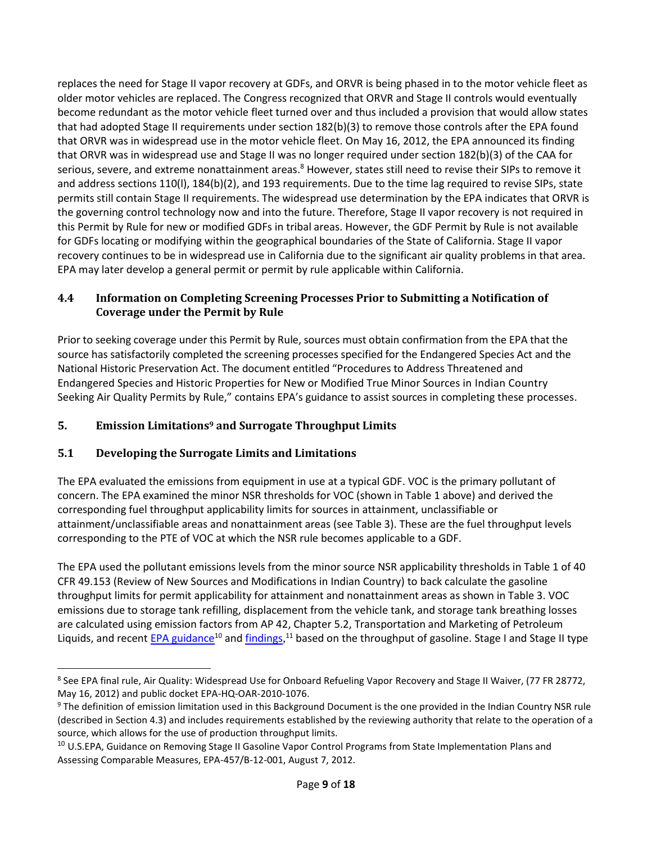replaces the need for Stage II vapor recovery at GDFs, and ORVR is being phased in to the motor vehicle fleet as older motor vehicles are replaced. The Congress recognized that ORVR and Stage II controls would eventually become redundant as the motor vehicle fleet turned over and thus included a provision that would allow states that had adopted Stage II requirements under section 182(b)(3) to remove those controls after the EPA found that ORVR was in widespread use in the motor vehicle fleet. On May 16, 2012, the EPA announced its finding that ORVR was in widespread use and Stage II was no longer required under section 182(b)(3) of the CAA for serious, severe, and extreme nonattainment areas.<sup>8</sup> However, states still need to revise their SIPs to remove it and address sections 110(l), 184(b)(2), and 193 requirements. Due to the time lag required to revise SIPs, state permits still contain Stage II requirements. The widespread use determination by the EPA indicates that ORVR is the governing control technology now and into the future. Therefore, Stage II vapor recovery is not required in this Permit by Rule for new or modified GDFs in tribal areas. However, the GDF Permit by Rule is not available for GDFs locating or modifying within the geographical boundaries of the State of California. Stage II vapor recovery continues to be in widespread use in California due to the significant air quality problems in that area. EPA may later develop a general permit or permit by rule applicable within California.

### **4.4 Information on Completing Screening Processes Prior to Submitting a Notification of Coverage under the Permit by Rule**

Prior to seeking coverage under this Permit by Rule, sources must obtain confirmation from the EPA that the source has satisfactorily completed the screening processes specified for the Endangered Species Act and the National Historic Preservation Act. The document entitled "Procedures to Address Threatened and Endangered Species and Historic Properties for New or Modified True Minor Sources in Indian Country Seeking Air Quality Permits by Rule," contains EPA's guidance to assist sources in completing these processes.

## **5. Emission Limitations<sup>9</sup> and Surrogate Throughput Limits**

## **5.1 Developing the Surrogate Limits and Limitations**

l

The EPA evaluated the emissions from equipment in use at a typical GDF. VOC is the primary pollutant of concern. The EPA examined the minor NSR thresholds for VOC (shown in Table 1 above) and derived the corresponding fuel throughput applicability limits for sources in attainment, unclassifiable or attainment/unclassifiable areas and nonattainment areas (see Table 3). These are the fuel throughput levels corresponding to the PTE of VOC at which the NSR rule becomes applicable to a GDF.

The EPA used the pollutant emissions levels from the minor source NSR applicability thresholds in Table 1 of 40 CFR 49.153 (Review of New Sources and Modifications in Indian Country) to back calculate the gasoline throughput limits for permit applicability for attainment and nonattainment areas as shown in Table 3. VOC emissions due to storage tank refilling, displacement from the vehicle tank, and storage tank breathing losses are calculated using emission factors from AP 42, Chapter 5.2, Transportation and Marketing of Petroleum Liquids, and recent EPA guidance<sup>10</sup> and findings,<sup>11</sup> based on the throughput of gasoline. Stage I and Stage II type

<sup>&</sup>lt;sup>8</sup> See EPA final rule, Air Quality: Widespread Use for Onboard Refueling Vapor Recovery and Stage II Waiver, (77 FR 28772, May 16, 2012) and public docket EPA-HQ-OAR-2010-1076.

<sup>&</sup>lt;sup>9</sup> The definition of emission limitation used in this Background Document is the one provided in the Indian Country NSR rule (described in Section 4.3) and includes requirements established by the reviewing authority that relate to the operation of a source, which allows for the use of production throughput limits.

<sup>&</sup>lt;sup>10</sup> U.S.EPA, Guidance on Removing Stage II Gasoline Vapor Control Programs from State Implementation Plans and Assessing Comparable Measures, EPA-457/B-12-001, August 7, 2012.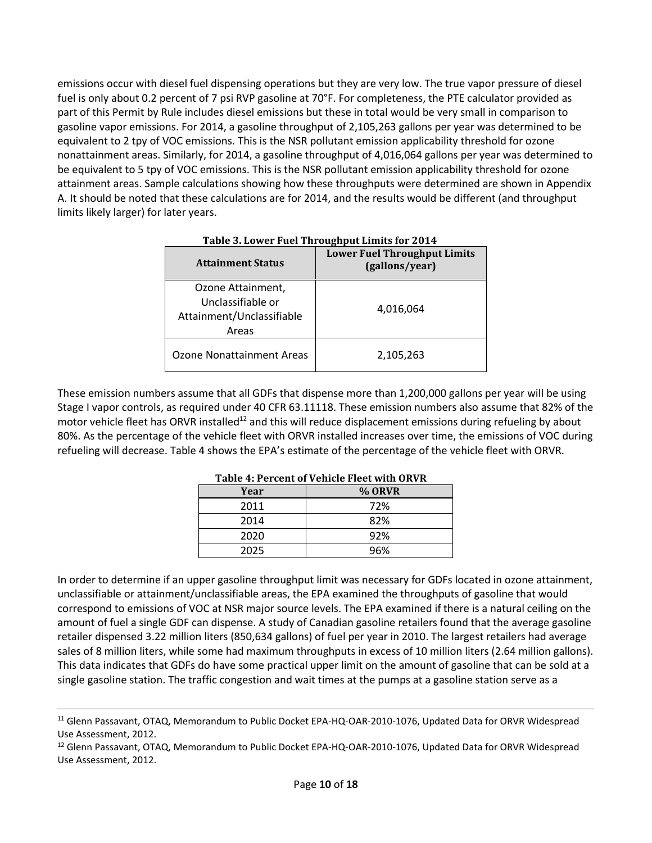emissions occur with diesel fuel dispensing operations but they are very low. The true vapor pressure of diesel fuel is only about 0.2 percent of 7 psi RVP gasoline at 70°F. For completeness, the PTE calculator provided as part of this Permit by Rule includes diesel emissions but these in total would be very small in comparison to gasoline vapor emissions. For 2014, a gasoline throughput of 2,105,263 gallons per year was determined to be equivalent to 2 tpy of VOC emissions. This is the NSR pollutant emission applicability threshold for ozone nonattainment areas. Similarly, for 2014, a gasoline throughput of 4,016,064 gallons per year was determined to be equivalent to 5 tpy of VOC emissions. This is the NSR pollutant emission applicability threshold for ozone attainment areas. Sample calculations showing how these throughputs were determined are shown in Appendix A. It should be noted that these calculations are for 2014, and the results would be different (and throughput limits likely larger) for later years.

| <b>Attainment Status</b>                                                     | <b>Lower Fuel Throughput Limits</b><br>(gallons/year) |
|------------------------------------------------------------------------------|-------------------------------------------------------|
| Ozone Attainment,<br>Unclassifiable or<br>Attainment/Unclassifiable<br>Areas | 4,016,064                                             |
| <b>Ozone Nonattainment Areas</b>                                             | 2,105,263                                             |

 **Table 3. Lower Fuel Throughput Limits for 2014**

These emission numbers assume that all GDFs that dispense more than 1,200,000 gallons per year will be using Stage I vapor controls, as required under 40 CFR 63.11118. These emission numbers also assume that 82% of the motor vehicle fleet has ORVR installed<sup>12</sup> and this will reduce displacement emissions during refueling by about 80%. As the percentage of the vehicle fleet with ORVR installed increases over time, the emissions of VOC during refueling will decrease. Table 4 shows the EPA's estimate of the percentage of the vehicle fleet with ORVR.

|      | Table 4: Feltent of Venitie Fieet with ONVN |
|------|---------------------------------------------|
| Year | % ORVR                                      |
| 2011 | 72%                                         |
| 2014 | 82%                                         |
| 2020 | 92%                                         |
| 2025 | 96%                                         |

 **Table 4: Percent of Vehicle Fleet with ORVR**

In order to determine if an upper gasoline throughput limit was necessary for GDFs located in ozone attainment, unclassifiable or attainment/unclassifiable areas, the EPA examined the throughputs of gasoline that would correspond to emissions of VOC at NSR major source levels. The EPA examined if there is a natural ceiling on the amount of fuel a single GDF can dispense. A study of Canadian gasoline retailers found that the average gasoline retailer dispensed 3.22 million liters (850,634 gallons) of fuel per year in 2010. The largest retailers had average sales of 8 million liters, while some had maximum throughputs in excess of 10 million liters (2.64 million gallons). This data indicates that GDFs do have some practical upper limit on the amount of gasoline that can be sold at a single gasoline station. The traffic congestion and wait times at the pumps at a gasoline station serve as a

l

<sup>11</sup> Glenn Passavant, OTAQ, Memorandum to Public Docket EPA-HQ-OAR-2010-1076, Updated Data for ORVR Widespread Use Assessment, 2012.

<sup>&</sup>lt;sup>12</sup> Glenn Passavant, OTAQ, Memorandum to Public Docket EPA-HQ-OAR-2010-1076, Updated Data for ORVR Widespread Use Assessment, 2012.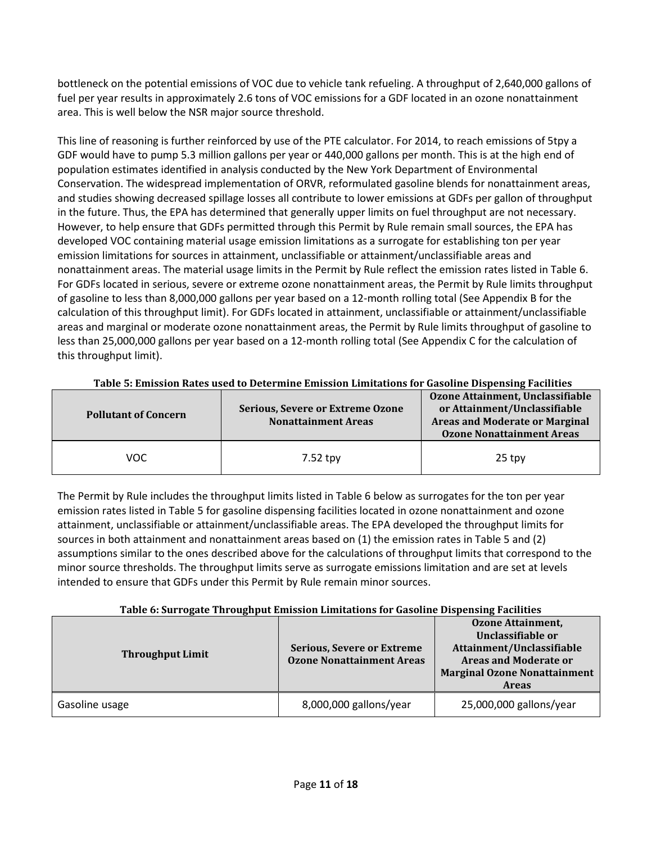bottleneck on the potential emissions of VOC due to vehicle tank refueling. A throughput of 2,640,000 gallons of fuel per year results in approximately 2.6 tons of VOC emissions for a GDF located in an ozone nonattainment area. This is well below the NSR major source threshold.

This line of reasoning is further reinforced by use of the PTE calculator. For 2014, to reach emissions of 5tpy a GDF would have to pump 5.3 million gallons per year or 440,000 gallons per month. This is at the high end of population estimates identified in analysis conducted by the New York Department of Environmental Conservation. The widespread implementation of ORVR, reformulated gasoline blends for nonattainment areas, and studies showing decreased spillage losses all contribute to lower emissions at GDFs per gallon of throughput in the future. Thus, the EPA has determined that generally upper limits on fuel throughput are not necessary. However, to help ensure that GDFs permitted through this Permit by Rule remain small sources, the EPA has developed VOC containing material usage emission limitations as a surrogate for establishing ton per year emission limitations for sources in attainment, unclassifiable or attainment/unclassifiable areas and nonattainment areas. The material usage limits in the Permit by Rule reflect the emission rates listed in Table 6. For GDFs located in serious, severe or extreme ozone nonattainment areas, the Permit by Rule limits throughput of gasoline to less than 8,000,000 gallons per year based on a 12-month rolling total (See Appendix B for the calculation of this throughput limit). For GDFs located in attainment, unclassifiable or attainment/unclassifiable areas and marginal or moderate ozone nonattainment areas, the Permit by Rule limits throughput of gasoline to less than 25,000,000 gallons per year based on a 12-month rolling total (See Appendix C for the calculation of this throughput limit).

| <b>Pollutant of Concern</b> | <b>Serious, Severe or Extreme Ozone</b><br><b>Nonattainment Areas</b> | Ozone Attainment, Unclassifiable<br>or Attainment/Unclassifiable<br><b>Areas and Moderate or Marginal</b><br><b>Ozone Nonattainment Areas</b> |
|-----------------------------|-----------------------------------------------------------------------|-----------------------------------------------------------------------------------------------------------------------------------------------|
| VOC                         | 7.52 tpy                                                              | $25$ tpv                                                                                                                                      |

### **Table 5: Emission Rates used to Determine Emission Limitations for Gasoline Dispensing Facilities**

The Permit by Rule includes the throughput limits listed in Table 6 below as surrogates for the ton per year emission rates listed in Table 5 for gasoline dispensing facilities located in ozone nonattainment and ozone attainment, unclassifiable or attainment/unclassifiable areas. The EPA developed the throughput limits for sources in both attainment and nonattainment areas based on (1) the emission rates in Table 5 and (2) assumptions similar to the ones described above for the calculations of throughput limits that correspond to the minor source thresholds. The throughput limits serve as surrogate emissions limitation and are set at levels intended to ensure that GDFs under this Permit by Rule remain minor sources.

### **Table 6: Surrogate Throughput Emission Limitations for Gasoline Dispensing Facilities**

| <b>Throughput Limit</b> | <b>Serious, Severe or Extreme</b><br><b>Ozone Nonattainment Areas</b> | <b>Ozone Attainment,</b><br>Unclassifiable or<br>Attainment/Unclassifiable<br><b>Areas and Moderate or</b><br><b>Marginal Ozone Nonattainment</b><br><b>Areas</b> |
|-------------------------|-----------------------------------------------------------------------|-------------------------------------------------------------------------------------------------------------------------------------------------------------------|
| Gasoline usage          | 8,000,000 gallons/year                                                | 25,000,000 gallons/year                                                                                                                                           |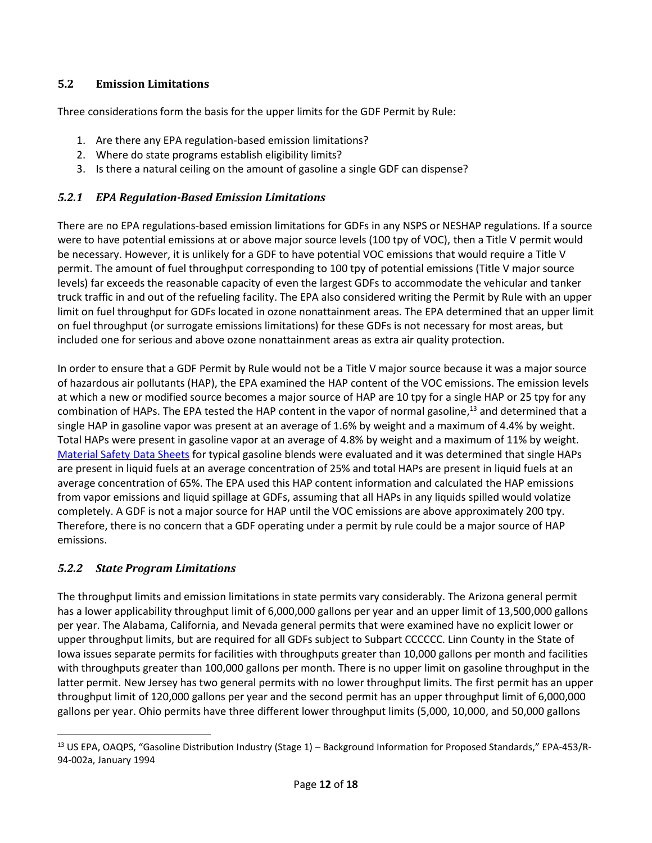### **5.2 Emission Limitations**

Three considerations form the basis for the upper limits for the GDF Permit by Rule:

- 1. Are there any EPA regulation-based emission limitations?
- 2. Where do state programs establish eligibility limits?
- 3. Is there a natural ceiling on the amount of gasoline a single GDF can dispense?

### *5.2.1 EPA Regulation-Based Emission Limitations*

There are no EPA regulations-based emission limitations for GDFs in any NSPS or NESHAP regulations. If a source were to have potential emissions at or above major source levels (100 tpy of VOC), then a Title V permit would be necessary. However, it is unlikely for a GDF to have potential VOC emissions that would require a Title V permit. The amount of fuel throughput corresponding to 100 tpy of potential emissions (Title V major source levels) far exceeds the reasonable capacity of even the largest GDFs to accommodate the vehicular and tanker truck traffic in and out of the refueling facility. The EPA also considered writing the Permit by Rule with an upper limit on fuel throughput for GDFs located in ozone nonattainment areas. The EPA determined that an upper limit on fuel throughput (or surrogate emissions limitations) for these GDFs is not necessary for most areas, but included one for serious and above ozone nonattainment areas as extra air quality protection.

In order to ensure that a GDF Permit by Rule would not be a Title V major source because it was a major source of hazardous air pollutants (HAP), the EPA examined the HAP content of the VOC emissions. The emission levels at which a new or modified source becomes a major source of HAP are 10 tpy for a single HAP or 25 tpy for any combination of HAPs. The EPA tested the HAP content in the vapor of normal gasoline,<sup>13</sup> and determined that a single HAP in gasoline vapor was present at an average of 1.6% by weight and a maximum of 4.4% by weight. Total HAPs were present in gasoline vapor at an average of 4.8% by weight and a maximum of 11% by weight. Material Safety Data Sheets for typical gasoline blends were evaluated and it was determined that single HAPs are present in liquid fuels at an average concentration of 25% and total HAPs are present in liquid fuels at an average concentration of 65%. The EPA used this HAP content information and calculated the HAP emissions from vapor emissions and liquid spillage at GDFs, assuming that all HAPs in any liquids spilled would volatize completely. A GDF is not a major source for HAP until the VOC emissions are above approximately 200 tpy. Therefore, there is no concern that a GDF operating under a permit by rule could be a major source of HAP emissions.

## *5.2.2 State Program Limitations*

l

<span id="page-11-0"></span>The throughput limits and emission limitations in state permits vary considerably. The Arizona general permit has a lower applicability throughput limit of 6,000,000 gallons per year and an upper limit of 13,500,000 gallons per year. The Alabama, California, and Nevada general permits that were examined have no explicit lower or upper throughput limits, but are required for all GDFs subject to Subpart CCCCCC. Linn County in the State of Iowa issues separate permits for facilities with throughputs greater than 10,000 gallons per month and facilities with throughputs greater than 100,000 gallons per month. There is no upper limit on gasoline throughput in the latter permit. New Jersey has two general permits with no lower throughput limits. The first permit has an upper throughput limit of 120,000 gallons per year and the second permit has an upper throughput limit of 6,000,000 gallons per year. Ohio permits have three different lower throughput limits (5,000, 10,000, and 50,000 gallons

<sup>&</sup>lt;sup>13</sup> US EPA, OAQPS, "Gasoline Distribution Industry (Stage 1) - Background Information for Proposed Standards," EPA-453/R-94-002a, January 1994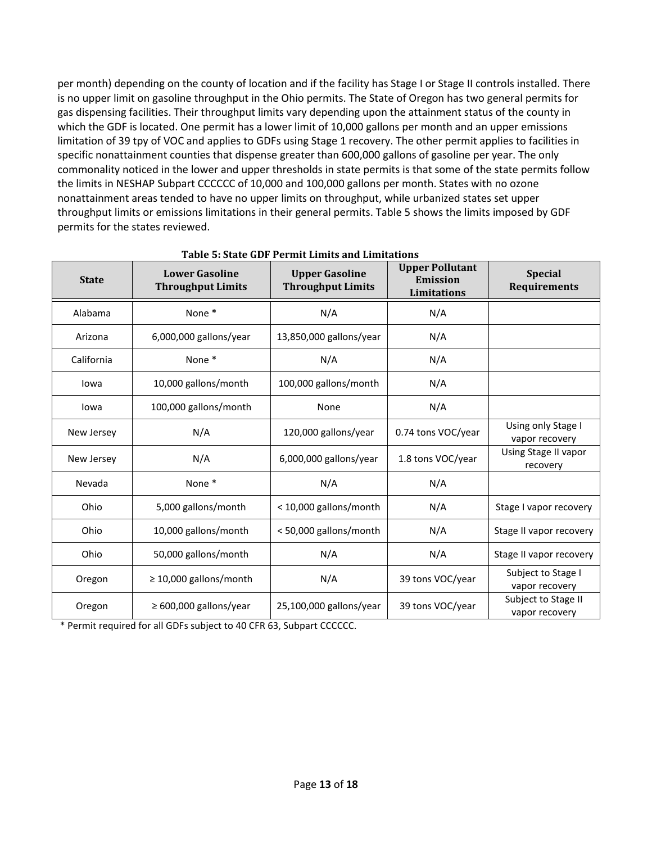per month) depending on the county of location and if the facility has Stage I or Stage II controls installed. There is no upper limit on gasoline throughput in the Ohio permits. The State of Oregon has two general permits for gas dispensing facilities. Their throughput limits vary depending upon the attainment status of the county in which the GDF is located. One permit has a lower limit of 10,000 gallons per month and an upper emissions limitation of 39 tpy of VOC and applies to GDFs using Stage 1 recovery. The other permit applies to facilities in specific nonattainment counties that dispense greater than 600,000 gallons of gasoline per year. The only commonality noticed in the lower and upper thresholds in state permits is that some of the state permits follow the limits in NESHAP Subpart CCCCCC of 10,000 and 100,000 gallons per month. States with no ozone nonattainment areas tended to have no upper limits on throughput, while urbanized states set upper throughput limits or emissions limitations in their general permits. Table 5 shows the limits imposed by GDF permits for the states reviewed.

| <b>State</b> | <b>Lower Gasoline</b><br><b>Throughput Limits</b> | <b>Upper Gasoline</b><br><b>Throughput Limits</b> | <b>Upper Pollutant</b><br><b>Emission</b><br>Limitations | <b>Special</b><br><b>Requirements</b> |
|--------------|---------------------------------------------------|---------------------------------------------------|----------------------------------------------------------|---------------------------------------|
| Alabama      | None*                                             | N/A                                               | N/A                                                      |                                       |
| Arizona      | 6,000,000 gallons/year                            | 13,850,000 gallons/year                           | N/A                                                      |                                       |
| California   | None*                                             | N/A                                               | N/A                                                      |                                       |
| lowa         | 10,000 gallons/month                              | 100,000 gallons/month                             | N/A                                                      |                                       |
| lowa         | 100,000 gallons/month                             | None                                              | N/A                                                      |                                       |
| New Jersey   | N/A                                               | 120,000 gallons/year                              | 0.74 tons VOC/year                                       | Using only Stage I<br>vapor recovery  |
| New Jersey   | N/A                                               | 6,000,000 gallons/year                            | 1.8 tons VOC/year                                        | Using Stage II vapor<br>recovery      |
| Nevada       | None*                                             | N/A                                               | N/A                                                      |                                       |
| Ohio         | 5,000 gallons/month                               | < 10,000 gallons/month                            | N/A                                                      | Stage I vapor recovery                |
| Ohio         | 10,000 gallons/month                              | <50,000 gallons/month                             | N/A                                                      | Stage II vapor recovery               |
| Ohio         | 50,000 gallons/month                              | N/A                                               | N/A                                                      | Stage II vapor recovery               |
| Oregon       | $\geq$ 10,000 gallons/month                       | N/A                                               | 39 tons VOC/year                                         | Subject to Stage I<br>vapor recovery  |
| Oregon       | $\geq 600,000$ gallons/year                       | 25,100,000 gallons/year                           | 39 tons VOC/year                                         | Subject to Stage II<br>vapor recovery |

 **Table 5: State GDF Permit Limits and Limitations**

\* Permit required for all GDFs subject to 40 CFR 63, Subpart CCCCCC.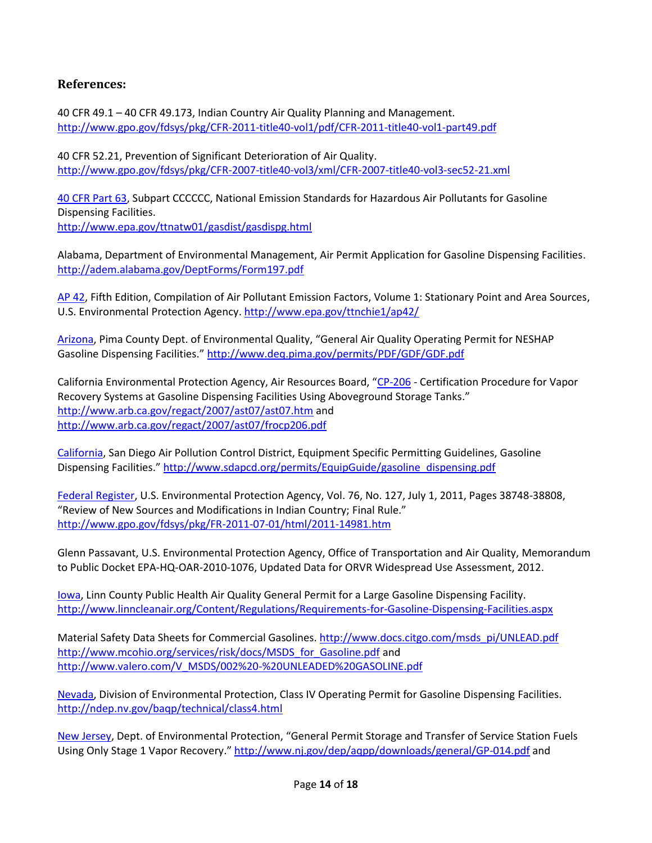## **References:**

<span id="page-13-0"></span>40 CFR 49.1 – 40 CFR 49.173, Indian Country Air Quality Planning and Management. <http://www.gpo.gov/fdsys/pkg/CFR-2011-title40-vol1/pdf/CFR-2011-title40-vol1-part49.pdf>

40 CFR 52.21, Prevention of Significant Deterioration of Air Quality. <http://www.gpo.gov/fdsys/pkg/CFR-2007-title40-vol3/xml/CFR-2007-title40-vol3-sec52-21.xml>

40 CFR Part 63, Subpart CCCCCC, National Emission Standards for Hazardous Air Pollutants for Gasoline Dispensing Facilities.

<http://www.epa.gov/ttnatw01/gasdist/gasdispg.html>

Alabama, Department of Environmental Management, Air Permit Application for Gasoline Dispensing Facilities. <http://adem.alabama.gov/DeptForms/Form197.pdf>

AP 42, Fifth Edition, Compilation of Air Pollutant Emission Factors, Volume 1: Stationary Point and Area Sources, U.S. Environmental Protection Agency. <http://www.epa.gov/ttnchie1/ap42/>

[Arizona](#page-1-0), Pima County Dept. of Environmental Quality, "General Air Quality Operating Permit for NESHAP Gasoline Dispensing Facilities." <http://www.deq.pima.gov/permits/PDF/GDF/GDF.pdf>

California Environmental Protection Agency, Air Resources Board, "CP-206 - Certification Procedure for Vapor Recovery Systems at Gasoline Dispensing Facilities Using Aboveground Storage Tanks." <http://www.arb.ca.gov/regact/2007/ast07/ast07.htm> and <http://www.arb.ca.gov/regact/2007/ast07/frocp206.pdf>

[California,](#page-1-1) San Diego Air Pollution Control District, Equipment Specific Permitting Guidelines, Gasoline Dispensing Facilities." [http://www.sdapcd.org/permits/EquipGuide/gasoline\\_dispensing.pdf](http://www.sdapcd.org/permits/EquipGuide/gasoline_dispensing.pdf)

Federal Register, U.S. Environmental Protection Agency, Vol. 76, No. 127, July 1, 2011, Pages 38748-38808, "Review of New Sources and Modifications in Indian Country; Final Rule." <http://www.gpo.gov/fdsys/pkg/FR-2011-07-01/html/2011-14981.htm>

Glenn Passavant, U.S. Environmental Protection Agency, Office of Transportation and Air Quality, Memorandum to Public Docket EPA-HQ-OAR-2010-1076, Updated Data for ORVR Widespread Use Assessment, 2012.

[Iowa,](#page-1-2) Linn County Public Health Air Quality General Permit for a Large Gasoline Dispensing Facility. <http://www.linncleanair.org/Content/Regulations/Requirements-for-Gasoline-Dispensing-Facilities.aspx>

Material Safety Data Sheets for Commercial Gasolines. http://www.docs.citgo.com/msds\_pi/UNLEAD.pdf [http://www.mcohio.org/services/risk/docs/MSDS\\_for\\_Gasoline.pdf](http://www.mcohio.org/services/risk/docs/MSDS_for_Gasoline.pdf) and [http://www.valero.com/V\\_MSDS/002%20-%20UNLEADED%20GASOLINE.pdf](http://www.valero.com/V_MSDS/002%20-%20UNLEADED%20GASOLINE.pdf)

[Nevada,](#page-11-0) Division of Environmental Protection, Class IV Operating Permit for Gasoline Dispensing Facilities. <http://ndep.nv.gov/baqp/technical/class4.html>

[New Jersey](#page-1-3), Dept. of Environmental Protection, "General Permit Storage and Transfer of Service Station Fuels Using Only Stage 1 Vapor Recovery." <http://www.nj.gov/dep/aqpp/downloads/general/GP-014.pdf> and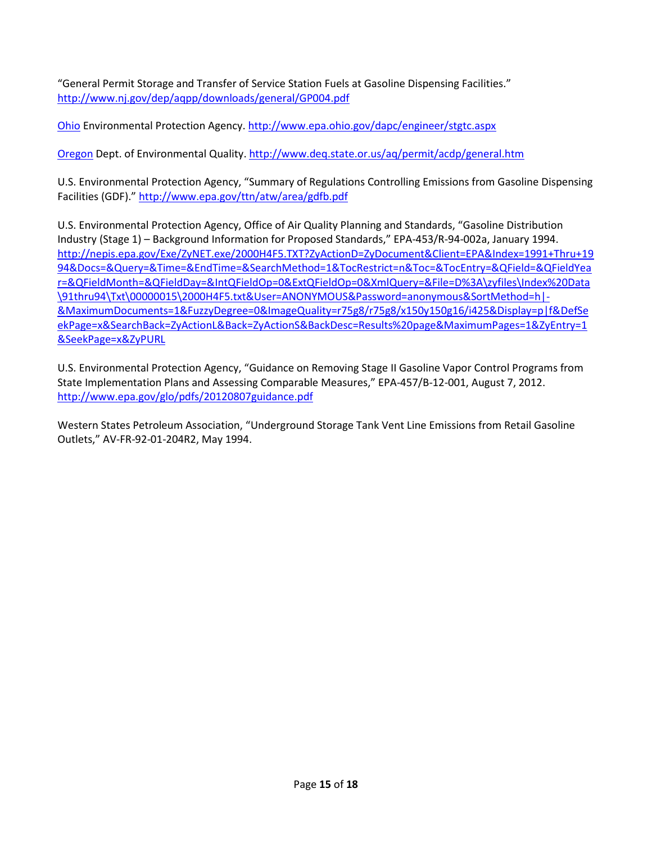"General Permit Storage and Transfer of Service Station Fuels at Gasoline Dispensing Facilities." <http://www.nj.gov/dep/aqpp/downloads/general/GP004.pdf>

[Ohio](#page-1-4) Environmental Protection Agency. <http://www.epa.ohio.gov/dapc/engineer/stgtc.aspx>

[Oregon](#page-1-5) Dept. of Environmental Quality. <http://www.deq.state.or.us/aq/permit/acdp/general.htm>

U.S. Environmental Protection Agency, "Summary of Regulations Controlling Emissions from Gasoline Dispensing Facilities (GDF)." <http://www.epa.gov/ttn/atw/area/gdfb.pdf>

U.S. Environmental Protection Agency, Office of Air Quality Planning and Standards, "Gasoline Distribution Industry (Stage 1) – Background Information for Proposed Standards," EPA-453/R-94-002a, January 1994. [http://nepis.epa.gov/Exe/ZyNET.exe/2000H4F5.TXT?ZyActionD=ZyDocument&Client=EPA&Index=1991+Thru+19](http://nepis.epa.gov/Exe/ZyNET.exe/2000H4F5.TXT?ZyActionD=ZyDocument&Client=EPA&Index=1991+Thru+1994&Docs=&Query=&Time=&EndTime=&SearchMethod=1&TocRestrict=n&Toc=&TocEntry=&QField=&QFieldYear=&QFieldMonth=&QFieldDay=&IntQFieldOp=0&ExtQFieldOp=0&XmlQuery=&File=D%3A/zyfiles/Index%20Data/91thru94/Txt/00000015/2000H4F5.txt&User=ANONYMOUS&Password=anonymous&SortMethod=h|-&MaximumDocuments=1&FuzzyDegree=0&ImageQuality=r75g8/r75g8/x150y150g16/i425&Display=p|f&DefSeekPage=x&SearchBack=ZyActionL&Back=ZyActionS&BackDesc=Results%20page&MaximumPages=1&ZyEntry=1&SeekPage=x&ZyPURL) [94&Docs=&Query=&Time=&EndTime=&SearchMethod=1&TocRestrict=n&Toc=&TocEntry=&QField=&QFieldYea](http://nepis.epa.gov/Exe/ZyNET.exe/2000H4F5.TXT?ZyActionD=ZyDocument&Client=EPA&Index=1991+Thru+1994&Docs=&Query=&Time=&EndTime=&SearchMethod=1&TocRestrict=n&Toc=&TocEntry=&QField=&QFieldYear=&QFieldMonth=&QFieldDay=&IntQFieldOp=0&ExtQFieldOp=0&XmlQuery=&File=D%3A/zyfiles/Index%20Data/91thru94/Txt/00000015/2000H4F5.txt&User=ANONYMOUS&Password=anonymous&SortMethod=h|-&MaximumDocuments=1&FuzzyDegree=0&ImageQuality=r75g8/r75g8/x150y150g16/i425&Display=p|f&DefSeekPage=x&SearchBack=ZyActionL&Back=ZyActionS&BackDesc=Results%20page&MaximumPages=1&ZyEntry=1&SeekPage=x&ZyPURL) [r=&QFieldMonth=&QFieldDay=&IntQFieldOp=0&ExtQFieldOp=0&XmlQuery=&File=D%3A\zyfiles\Index%20Data](http://nepis.epa.gov/Exe/ZyNET.exe/2000H4F5.TXT?ZyActionD=ZyDocument&Client=EPA&Index=1991+Thru+1994&Docs=&Query=&Time=&EndTime=&SearchMethod=1&TocRestrict=n&Toc=&TocEntry=&QField=&QFieldYear=&QFieldMonth=&QFieldDay=&IntQFieldOp=0&ExtQFieldOp=0&XmlQuery=&File=D%3A/zyfiles/Index%20Data/91thru94/Txt/00000015/2000H4F5.txt&User=ANONYMOUS&Password=anonymous&SortMethod=h|-&MaximumDocuments=1&FuzzyDegree=0&ImageQuality=r75g8/r75g8/x150y150g16/i425&Display=p|f&DefSeekPage=x&SearchBack=ZyActionL&Back=ZyActionS&BackDesc=Results%20page&MaximumPages=1&ZyEntry=1&SeekPage=x&ZyPURL) [\91thru94\Txt\00000015\2000H4F5.txt&User=ANONYMOUS&Password=anonymous&SortMethod=h|-](http://nepis.epa.gov/Exe/ZyNET.exe/2000H4F5.TXT?ZyActionD=ZyDocument&Client=EPA&Index=1991+Thru+1994&Docs=&Query=&Time=&EndTime=&SearchMethod=1&TocRestrict=n&Toc=&TocEntry=&QField=&QFieldYear=&QFieldMonth=&QFieldDay=&IntQFieldOp=0&ExtQFieldOp=0&XmlQuery=&File=D%3A/zyfiles/Index%20Data/91thru94/Txt/00000015/2000H4F5.txt&User=ANONYMOUS&Password=anonymous&SortMethod=h|-&MaximumDocuments=1&FuzzyDegree=0&ImageQuality=r75g8/r75g8/x150y150g16/i425&Display=p|f&DefSeekPage=x&SearchBack=ZyActionL&Back=ZyActionS&BackDesc=Results%20page&MaximumPages=1&ZyEntry=1&SeekPage=x&ZyPURL) [&MaximumDocuments=1&FuzzyDegree=0&ImageQuality=r75g8/r75g8/x150y150g16/i425&Display=p|f&DefSe](http://nepis.epa.gov/Exe/ZyNET.exe/2000H4F5.TXT?ZyActionD=ZyDocument&Client=EPA&Index=1991+Thru+1994&Docs=&Query=&Time=&EndTime=&SearchMethod=1&TocRestrict=n&Toc=&TocEntry=&QField=&QFieldYear=&QFieldMonth=&QFieldDay=&IntQFieldOp=0&ExtQFieldOp=0&XmlQuery=&File=D%3A/zyfiles/Index%20Data/91thru94/Txt/00000015/2000H4F5.txt&User=ANONYMOUS&Password=anonymous&SortMethod=h|-&MaximumDocuments=1&FuzzyDegree=0&ImageQuality=r75g8/r75g8/x150y150g16/i425&Display=p|f&DefSeekPage=x&SearchBack=ZyActionL&Back=ZyActionS&BackDesc=Results%20page&MaximumPages=1&ZyEntry=1&SeekPage=x&ZyPURL) [ekPage=x&SearchBack=ZyActionL&Back=ZyActionS&BackDesc=Results%20page&MaximumPages=1&ZyEntry=1](http://nepis.epa.gov/Exe/ZyNET.exe/2000H4F5.TXT?ZyActionD=ZyDocument&Client=EPA&Index=1991+Thru+1994&Docs=&Query=&Time=&EndTime=&SearchMethod=1&TocRestrict=n&Toc=&TocEntry=&QField=&QFieldYear=&QFieldMonth=&QFieldDay=&IntQFieldOp=0&ExtQFieldOp=0&XmlQuery=&File=D%3A/zyfiles/Index%20Data/91thru94/Txt/00000015/2000H4F5.txt&User=ANONYMOUS&Password=anonymous&SortMethod=h|-&MaximumDocuments=1&FuzzyDegree=0&ImageQuality=r75g8/r75g8/x150y150g16/i425&Display=p|f&DefSeekPage=x&SearchBack=ZyActionL&Back=ZyActionS&BackDesc=Results%20page&MaximumPages=1&ZyEntry=1&SeekPage=x&ZyPURL) [&SeekPage=x&ZyPURL](http://nepis.epa.gov/Exe/ZyNET.exe/2000H4F5.TXT?ZyActionD=ZyDocument&Client=EPA&Index=1991+Thru+1994&Docs=&Query=&Time=&EndTime=&SearchMethod=1&TocRestrict=n&Toc=&TocEntry=&QField=&QFieldYear=&QFieldMonth=&QFieldDay=&IntQFieldOp=0&ExtQFieldOp=0&XmlQuery=&File=D%3A/zyfiles/Index%20Data/91thru94/Txt/00000015/2000H4F5.txt&User=ANONYMOUS&Password=anonymous&SortMethod=h|-&MaximumDocuments=1&FuzzyDegree=0&ImageQuality=r75g8/r75g8/x150y150g16/i425&Display=p|f&DefSeekPage=x&SearchBack=ZyActionL&Back=ZyActionS&BackDesc=Results%20page&MaximumPages=1&ZyEntry=1&SeekPage=x&ZyPURL)

U.S. Environmental Protection Agency, "Guidance on Removing Stage II Gasoline Vapor Control Programs from State Implementation Plans and Assessing Comparable Measures," EPA-457/B-12-001, August 7, 2012. <http://www.epa.gov/glo/pdfs/20120807guidance.pdf>

Western States Petroleum Association, "Underground Storage Tank Vent Line Emissions from Retail Gasoline Outlets," AV-FR-92-01-204R2, May 1994.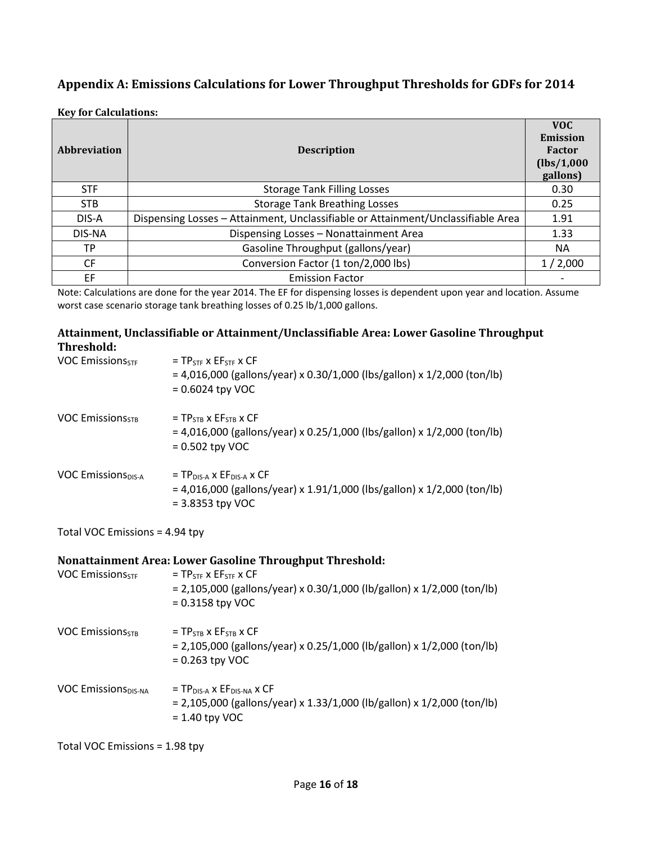## **Appendix A: Emissions Calculations for Lower Throughput Thresholds for GDFs for 2014**

**Key for Calculations:**

| Abbreviation | <b>Description</b>                                                               | <b>VOC</b><br>Emission<br>Factor<br>(lbs/1,000<br>gallons) |
|--------------|----------------------------------------------------------------------------------|------------------------------------------------------------|
| <b>STF</b>   | <b>Storage Tank Filling Losses</b>                                               | 0.30                                                       |
| <b>STB</b>   | <b>Storage Tank Breathing Losses</b>                                             | 0.25                                                       |
| DIS-A        | Dispensing Losses - Attainment, Unclassifiable or Attainment/Unclassifiable Area | 1.91                                                       |
| DIS-NA       | Dispensing Losses - Nonattainment Area                                           | 1.33                                                       |
| ТP           | Gasoline Throughput (gallons/year)                                               | NA                                                         |
| <b>CF</b>    | Conversion Factor (1 ton/2,000 lbs)                                              | 1/2,000                                                    |
| EF           | <b>Emission Factor</b>                                                           |                                                            |

Note: Calculations are done for the year 2014. The EF for dispensing losses is dependent upon year and location. Assume worst case scenario storage tank breathing losses of 0.25 lb/1,000 gallons.

#### **Attainment, Unclassifiable or Attainment/Unclassifiable Area: Lower Gasoline Throughput Threshold:**

| <b>VOC Emissions</b> <sub>STF</sub> | $= TP$ STE X $E$ FSTE X $CF$<br>$=$ 4,016,000 (gallons/year) x 0.30/1,000 (lbs/gallon) x 1/2,000 (ton/lb)<br>$= 0.6024$ tpy VOC                       |
|-------------------------------------|-------------------------------------------------------------------------------------------------------------------------------------------------------|
| <b>VOC Emissions</b> <sub>STB</sub> | $= TPSTB$ x $EFSTB$ x $CF$<br>$=$ 4,016,000 (gallons/year) x 0.25/1,000 (lbs/gallon) x 1/2,000 (ton/lb)<br>$= 0.502$ tpy VOC                          |
| <b>VOC Emissions</b> DIS-A          | $=$ TP <sub>DIS-A</sub> x EF <sub>DIS-A</sub> x CF<br>$= 4,016,000$ (gallons/year) x 1.91/1,000 (lbs/gallon) x 1/2,000 (ton/lb)<br>$=$ 3.8353 tpy VOC |

Total VOC Emissions = 4.94 tpy

### **Nonattainment Area: Lower Gasoline Throughput Threshold:**

| <b>VOC Emissions</b> <sub>STF</sub> | $=$ TP <sub>STE</sub> $\times$ EF <sub>STE</sub> $\times$ CF<br>$= 2,105,000$ (gallons/year) x 0.30/1,000 (lb/gallon) x 1/2,000 (ton/lb)<br>$= 0.3158$ tpy VOC |
|-------------------------------------|----------------------------------------------------------------------------------------------------------------------------------------------------------------|
| <b>VOC Emissions</b> <sub>STB</sub> | $= TPSTB$ x $EFSTB$ x $CF$<br>$= 2,105,000$ (gallons/year) x 0.25/1,000 (lb/gallon) x 1/2,000 (ton/lb)<br>$= 0.263$ tpy VOC                                    |
| <b>VOC Emissions</b> DIS-NA         | $= TP_{DIS-A} \times EF_{DIS-NA} \times CF$<br>$= 2,105,000$ (gallons/year) x 1.33/1,000 (lb/gallon) x 1/2,000 (ton/lb)<br>$= 1.40$ tpy VOC                    |

Total VOC Emissions = 1.98 tpy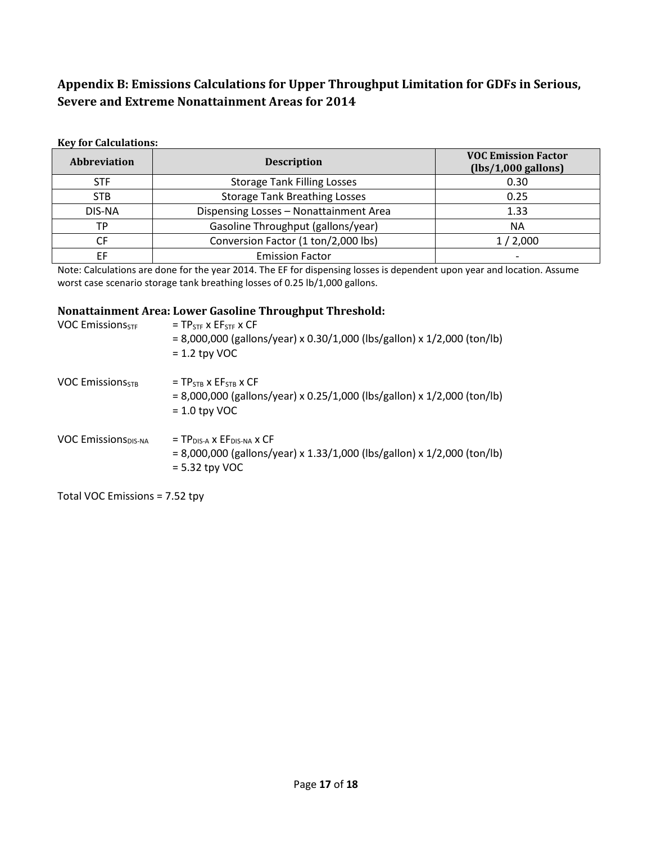# **Appendix B: Emissions Calculations for Upper Throughput Limitation for GDFs in Serious, Severe and Extreme Nonattainment Areas for 2014**

#### **Key for Calculations:**

| <b>Abbreviation</b> | <b>Description</b>                     | <b>VOC Emission Factor</b><br>$(lbs/1,000$ gallons) |
|---------------------|----------------------------------------|-----------------------------------------------------|
| <b>STF</b>          | <b>Storage Tank Filling Losses</b>     | 0.30                                                |
| <b>STB</b>          | <b>Storage Tank Breathing Losses</b>   | 0.25                                                |
| DIS-NA              | Dispensing Losses - Nonattainment Area | 1.33                                                |
| ТP                  | Gasoline Throughput (gallons/year)     | <b>NA</b>                                           |
| CF                  | Conversion Factor (1 ton/2,000 lbs)    | 1/2,000                                             |
| ΕF                  | <b>Emission Factor</b>                 |                                                     |

Note: Calculations are done for the year 2014. The EF for dispensing losses is dependent upon year and location. Assume worst case scenario storage tank breathing losses of 0.25 lb/1,000 gallons.

#### **Nonattainment Area: Lower Gasoline Throughput Threshold:**

| <b>VOC Emissions</b> <sub>STF</sub> | $= TP_{STF}$ x $EF_{STF}$ x CF<br>$= 8,000,000$ (gallons/year) x 0.30/1,000 (lbs/gallon) x 1/2,000 (ton/lb)<br>$= 1.2$ tpy VOC                     |
|-------------------------------------|----------------------------------------------------------------------------------------------------------------------------------------------------|
| <b>VOC EmissionSSTR</b>             | $= TPSTB$ x $EFSTB$ x $CF$<br>$= 8,000,000$ (gallons/year) x 0.25/1,000 (lbs/gallon) x 1/2,000 (ton/lb)<br>$= 1.0$ tpy VOC                         |
| <b>VOC Emissions</b> DIS-NA         | $=$ TP <sub>DIS-A</sub> x EF <sub>DIS-NA</sub> x CF<br>= 8,000,000 (gallons/year) x 1.33/1,000 (lbs/gallon) x 1/2,000 (ton/lb)<br>$= 5.32$ tpy VOC |

Total VOC Emissions = 7.52 tpy